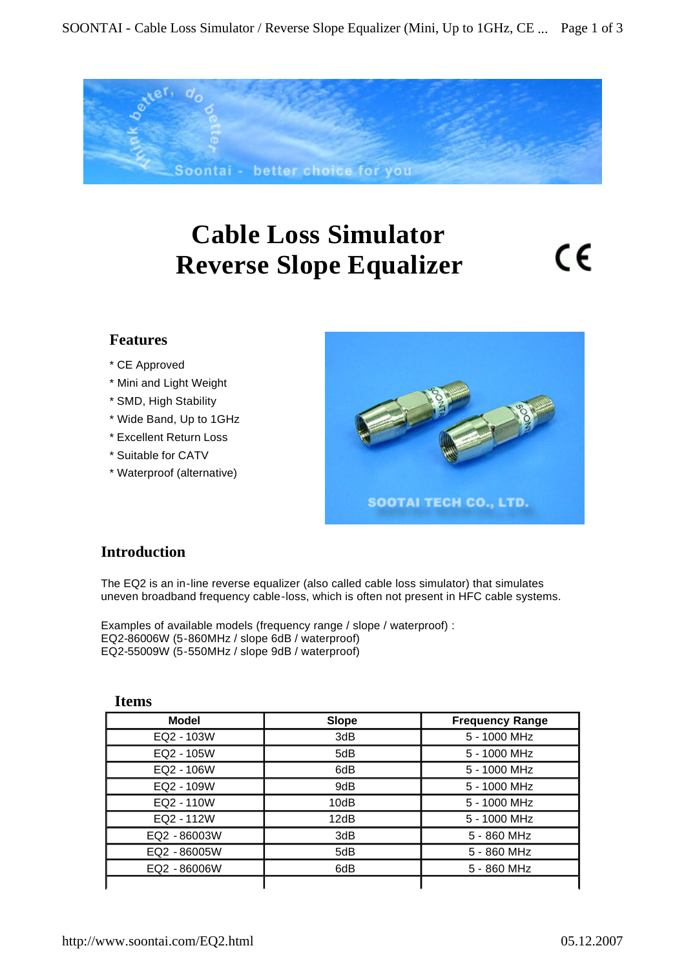

# **Cable Loss Simulator Reverse Slope Equalizer**

CE

## **Features**

- \* CE Approved
- \* Mini and Light Weight
- \* SMD, High Stability
- \* Wide Band, Up to 1GHz
- \* Excellent Return Loss
- \* Suitable for CATV
- \* Waterproof (alternative)



# **Introduction**

The EQ2 is an in-line reverse equalizer (also called cable loss simulator) that simulates uneven broadband frequency cable-loss, which is often not present in HFC cable systems.

Examples of available models (frequency range / slope / waterproof) : EQ2-86006W (5-860MHz / slope 6dB / waterproof) EQ2-55009W (5-550MHz / slope 9dB / waterproof)

| <b>Model</b> | <b>Slope</b> | <b>Frequency Range</b> |
|--------------|--------------|------------------------|
| EQ2 - 103W   | 3dB          | 5 - 1000 MHz           |
| EQ2 - 105W   | 5dB          | 5 - 1000 MHz           |
| EQ2 - 106W   | 6dB          | 5 - 1000 MHz           |
| EQ2 - 109W   | 9dB          | 5 - 1000 MHz           |
| EQ2 - 110W   | 10dB         | 5 - 1000 MHz           |
| EQ2 - 112W   | 12dB         | 5 - 1000 MHz           |
| EQ2 - 86003W | 3dB          | 5 - 860 MHz            |
| EQ2 - 86005W | 5dB          | 5 - 860 MHz            |
| EQ2 - 86006W | 6dB          | 5 - 860 MHz            |
|              |              |                        |

#### **Items**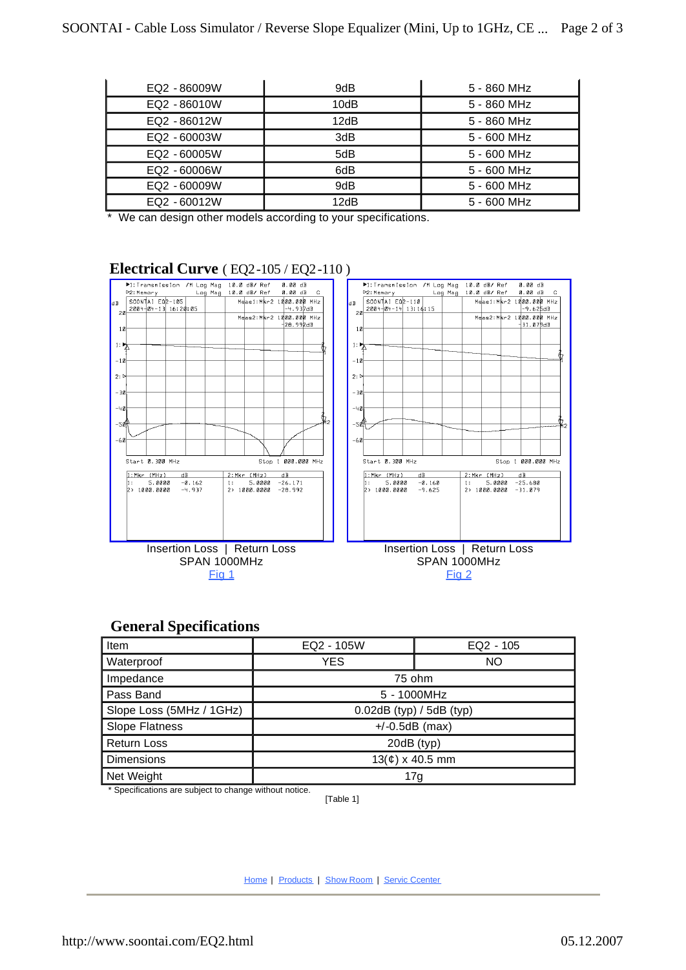| EQ2 - 86009W | 9dB  | 5 - 860 MHz |
|--------------|------|-------------|
| EQ2 - 86010W | 10dB | 5 - 860 MHz |
| EQ2 - 86012W | 12dB | 5 - 860 MHz |
| EQ2 - 60003W | 3dB  | 5 - 600 MHz |
| EQ2 - 60005W | 5dB  | 5 - 600 MHz |
| EQ2 - 60006W | 6dB  | 5 - 600 MHz |
| EQ2 - 60009W | 9dB  | 5 - 600 MHz |
| EQ2 - 60012W | 12dB | 5 - 600 MHz |

\* We can design other models according to your specifications.

## **Electrical Curve** ( EQ2-105 / EQ2-110 )



## **General Specifications**

| <b>Item</b>              | EQ2 - 105W                  | $EQ2 - 105$ |  |
|--------------------------|-----------------------------|-------------|--|
| Waterproof               | <b>YES</b>                  | NO          |  |
| Impedance                | 75 ohm                      |             |  |
| Pass Band                | 5 - 1000MHz                 |             |  |
| Slope Loss (5MHz / 1GHz) | $0.02$ dB (typ) / 5dB (typ) |             |  |
| <b>Slope Flatness</b>    | $+/-0.5dB$ (max)            |             |  |
| <b>Return Loss</b>       | 20dB (typ)                  |             |  |
| <b>Dimensions</b>        | $13(c) \times 40.5$ mm      |             |  |
| Net Weight               | 17g                         |             |  |

\* Specifications are subject to change without notice.

[Table 1]

Home | Products | Show Room | Servic Ccenter